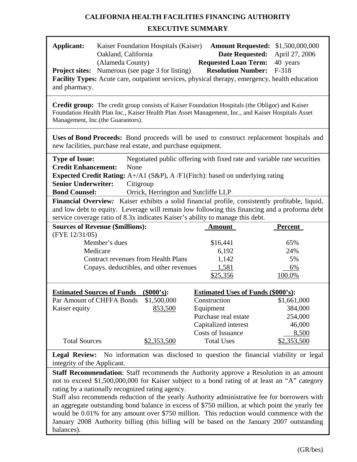# **CALIFORNIA HEALTH FACILITIES FINANCING AUTHORITY**

# **EXECUTIVE SUMMARY**

| Applicant:                                          | Oakland, California<br>(Alameda County)                                                                                                                                                                                                     | Kaiser Foundation Hospitals (Kaiser)                                                                                                                                                                         | <b>Requested Loan Term:</b>               | <b>Date Requested:</b>    | <b>Amount Requested:</b> \$1,500,000,000<br>April 27, 2006<br>40 years                          |  |  |  |
|-----------------------------------------------------|---------------------------------------------------------------------------------------------------------------------------------------------------------------------------------------------------------------------------------------------|--------------------------------------------------------------------------------------------------------------------------------------------------------------------------------------------------------------|-------------------------------------------|---------------------------|-------------------------------------------------------------------------------------------------|--|--|--|
|                                                     |                                                                                                                                                                                                                                             | <b>Project sites:</b> Numerous (see page 3 for listing)                                                                                                                                                      |                                           | <b>Resolution Number:</b> | F-318                                                                                           |  |  |  |
|                                                     |                                                                                                                                                                                                                                             | Facility Types: Acute care, outpatient services, physical therapy, emergency, health education                                                                                                               |                                           |                           |                                                                                                 |  |  |  |
| and pharmacy.                                       |                                                                                                                                                                                                                                             |                                                                                                                                                                                                              |                                           |                           |                                                                                                 |  |  |  |
|                                                     | Management, Inc.(the Guarantors).                                                                                                                                                                                                           | <b>Credit group:</b> The credit group consists of Kaiser Foundation Hospitals (the Obligor) and Kaiser<br>Foundation Health Plan Inc., Kaiser Health Plan Asset Management, Inc., and Kaiser Hospitals Asset |                                           |                           |                                                                                                 |  |  |  |
|                                                     |                                                                                                                                                                                                                                             | new facilities, purchase real estate, and purchase equipment.                                                                                                                                                |                                           |                           | Uses of Bond Proceeds: Bond proceeds will be used to construct replacement hospitals and        |  |  |  |
| <b>Type of Issue:</b><br><b>Credit Enhancement:</b> | None                                                                                                                                                                                                                                        |                                                                                                                                                                                                              |                                           |                           | Negotiated public offering with fixed rate and variable rate securities                         |  |  |  |
|                                                     |                                                                                                                                                                                                                                             | <b>Expected Credit Rating:</b> $A+/A1$ (S&P), $A/F1$ (Fitch): based on underlying rating                                                                                                                     |                                           |                           |                                                                                                 |  |  |  |
| <b>Senior Underwriter:</b>                          | Citigroup                                                                                                                                                                                                                                   |                                                                                                                                                                                                              |                                           |                           |                                                                                                 |  |  |  |
| <b>Bond Counsel:</b>                                |                                                                                                                                                                                                                                             | Orrick, Herrington and Sutcliffe LLP                                                                                                                                                                         |                                           |                           |                                                                                                 |  |  |  |
|                                                     |                                                                                                                                                                                                                                             |                                                                                                                                                                                                              |                                           |                           | Financial Overview: Kaiser exhibits a solid financial profile, consistently profitable, liquid, |  |  |  |
|                                                     |                                                                                                                                                                                                                                             | service coverage ratio of 8.3x indicates Kaiser's ability to manage this debt.                                                                                                                               |                                           |                           | and low debt to equity. Leverage will remain low following this financing and a proforma debt   |  |  |  |
|                                                     | <b>Sources of Revenue (\$millions):</b>                                                                                                                                                                                                     |                                                                                                                                                                                                              | <b>Amount</b>                             |                           | Percent                                                                                         |  |  |  |
| (FYE 12/31/05)                                      |                                                                                                                                                                                                                                             |                                                                                                                                                                                                              |                                           |                           |                                                                                                 |  |  |  |
|                                                     | Member's dues                                                                                                                                                                                                                               |                                                                                                                                                                                                              | \$16,441                                  |                           | 65%                                                                                             |  |  |  |
|                                                     | Medicare                                                                                                                                                                                                                                    |                                                                                                                                                                                                              | 6,192                                     |                           | 24%                                                                                             |  |  |  |
|                                                     |                                                                                                                                                                                                                                             | <b>Contract revenues from Health Plans</b>                                                                                                                                                                   | 1,142                                     |                           | 5%                                                                                              |  |  |  |
|                                                     |                                                                                                                                                                                                                                             | Copays. deductibles, and other revenues                                                                                                                                                                      | 1,581                                     |                           | 6%                                                                                              |  |  |  |
|                                                     |                                                                                                                                                                                                                                             |                                                                                                                                                                                                              | \$25,356                                  |                           | 100.0%                                                                                          |  |  |  |
|                                                     | <b>Estimated Sources of Funds</b>                                                                                                                                                                                                           | $(\$000's):$                                                                                                                                                                                                 | <b>Estimated Uses of Funds (\$000's):</b> |                           |                                                                                                 |  |  |  |
|                                                     | Par Amount of CHFFA Bonds                                                                                                                                                                                                                   | \$1,500,000                                                                                                                                                                                                  | Construction                              |                           | \$1,661,000                                                                                     |  |  |  |
| Kaiser equity                                       |                                                                                                                                                                                                                                             | 853,500                                                                                                                                                                                                      | Equipment                                 |                           | 384,000                                                                                         |  |  |  |
|                                                     |                                                                                                                                                                                                                                             |                                                                                                                                                                                                              | Purchase real estate                      |                           | 254,000                                                                                         |  |  |  |
|                                                     |                                                                                                                                                                                                                                             |                                                                                                                                                                                                              | Capitalized interest                      |                           | 46,000                                                                                          |  |  |  |
|                                                     |                                                                                                                                                                                                                                             |                                                                                                                                                                                                              | Costs of Issuance                         |                           | 8,500                                                                                           |  |  |  |
| <b>Total Sources</b>                                |                                                                                                                                                                                                                                             | \$2,353,500                                                                                                                                                                                                  | <b>Total Uses</b>                         |                           | \$2,353,500                                                                                     |  |  |  |
| integrity of the Applicant.                         |                                                                                                                                                                                                                                             |                                                                                                                                                                                                              |                                           |                           | Legal Review: No information was disclosed to question the financial viability or legal         |  |  |  |
|                                                     | Staff Recommendation: Staff recommends the Authority approve a Resolution in an amount<br>not to exceed \$1,500,000,000 for Kaiser subject to a bond rating of at least an "A" category<br>rating by a nationally recognized rating agency. |                                                                                                                                                                                                              |                                           |                           |                                                                                                 |  |  |  |
|                                                     |                                                                                                                                                                                                                                             |                                                                                                                                                                                                              |                                           |                           | Staff also recommends reduction of the yearly Authority administrative fee for borrowers with   |  |  |  |
|                                                     |                                                                                                                                                                                                                                             |                                                                                                                                                                                                              |                                           |                           | an aggregate outstanding bond balance in excess of \$750 million, at which point the yearly fee |  |  |  |
|                                                     |                                                                                                                                                                                                                                             |                                                                                                                                                                                                              |                                           |                           | would be 0.01% for any amount over \$750 million. This reduction would commence with the        |  |  |  |
|                                                     |                                                                                                                                                                                                                                             |                                                                                                                                                                                                              |                                           |                           | January 2008 Authority billing (this billing will be based on the January 2007 outstanding      |  |  |  |

balances).

r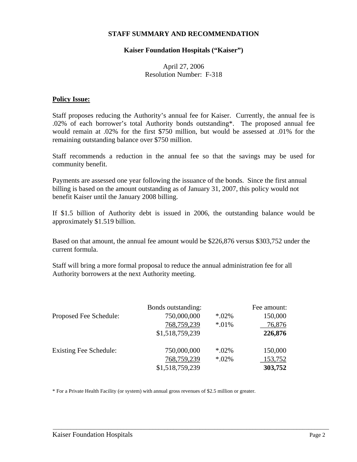#### **STAFF SUMMARY AND RECOMMENDATION**

#### **Kaiser Foundation Hospitals ("Kaiser")**

### April 27, 2006 Resolution Number: F-318

#### **Policy Issue:**

Staff proposes reducing the Authority's annual fee for Kaiser. Currently, the annual fee is .02% of each borrower's total Authority bonds outstanding\*. The proposed annual fee would remain at .02% for the first \$750 million, but would be assessed at .01% for the remaining outstanding balance over \$750 million.

Staff recommends a reduction in the annual fee so that the savings may be used for community benefit.

Payments are assessed one year following the issuance of the bonds. Since the first annual billing is based on the amount outstanding as of January 31, 2007, this policy would not benefit Kaiser until the January 2008 billing.

If \$1.5 billion of Authority debt is issued in 2006, the outstanding balance would be approximately \$1.519 billion.

Based on that amount, the annual fee amount would be \$226,876 versus \$303,752 under the current formula.

Staff will bring a more formal proposal to reduce the annual administration fee for all Authority borrowers at the next Authority meeting.

|                               | Bonds outstanding: |         | Fee amount: |
|-------------------------------|--------------------|---------|-------------|
| Proposed Fee Schedule:        | 750,000,000        | $*02\%$ | 150,000     |
|                               | 768,759,239        | $*01\%$ | 76,876      |
|                               | \$1,518,759,239    |         | 226,876     |
| <b>Existing Fee Schedule:</b> | 750,000,000        | $*02\%$ | 150,000     |
|                               | 768,759,239        | $*02\%$ | 153,752     |
|                               | \$1,518,759,239    |         | 303,752     |

\_\_\_\_\_\_\_\_\_\_\_\_\_\_\_\_\_\_\_\_\_\_\_\_\_\_\_\_\_\_\_\_\_\_\_\_\_\_\_\_\_\_\_\_\_\_\_\_\_\_\_\_\_\_\_\_\_\_\_\_\_\_\_\_\_\_\_\_\_\_\_\_\_\_\_\_\_\_\_\_\_\_\_\_\_\_\_\_\_\_\_\_\_\_

\* For a Private Health Facility (or system) with annual gross revenues of \$2.5 million or greater.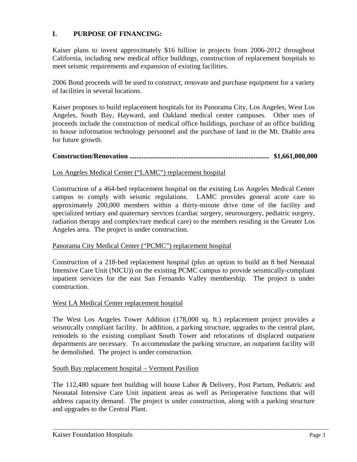# **I. PURPOSE OF FINANCING:**

Kaiser plans to invest approximately \$16 billion in projects from 2006-2012 throughout California, including new medical office buildings, construction of replacement hospitals to meet seismic requirements and expansion of existing facilities.

2006 Bond proceeds will be used to construct, renovate and purchase equipment for a variety of facilities in several locations.

Kaiser proposes to build replacement hospitals for its Panorama City, Los Angeles, West Los Angeles, South Bay, Hayward, and Oakland medical center campuses. Other uses of proceeds include the construction of medical office buildings, purchase of an office building to house information technology personnel and the purchase of land in the Mt. Diablo area for future growth.

## **Construction/Renovation ................................................................................ \$1,661,000,000**

## Los Angeles Medical Center ("LAMC") replacement hospital

Construction of a 464-bed replacement hospital on the existing Los Angeles Medical Center campus to comply with seismic regulations. LAMC provides general acute care to approximately 200,000 members within a thirty-minute drive time of the facility and specialized tertiary and quaternary services (cardiac surgery, neurosurgery, pediatric surgery, radiation therapy and complex/rare medical care) to the members residing in the Greater Los Angeles area. The project is under construction.

## Panorama City Medical Center ("PCMC") replacement hospital

Construction of a 218-bed replacement hospital (plus an option to build an 8 bed Neonatal Intensive Care Unit (NICU)) on the existing PCMC campus to provide seismically-compliant inpatient services for the east San Fernando Valley membership. The project is under construction.

## West LA Medical Center replacement hospital

The West Los Angeles Tower Addition (178,000 sq. ft.) replacement project provides a seismically compliant facility. In addition, a parking structure, upgrades to the central plant, remodels to the existing compliant South Tower and relocations of displaced outpatient departments are necessary. To accommodate the parking structure, an outpatient facility will be demolished. The project is under construction.

#### South Bay replacement hospital – Vermont Pavilion

The 112,480 square feet building will house Labor & Delivery, Post Partum, Pediatric and Neonatal Intensive Care Unit inpatient areas as well as Perioperative functions that will address capacity demand. The project is under construction, along with a parking structure and upgrades to the Central Plant.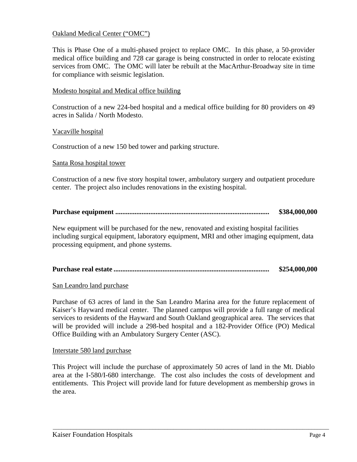## Oakland Medical Center ("OMC")

This is Phase One of a multi-phased project to replace OMC. In this phase, a 50-provider medical office building and 728 car garage is being constructed in order to relocate existing services from OMC. The OMC will later be rebuilt at the MacArthur-Broadway site in time for compliance with seismic legislation.

### Modesto hospital and Medical office building

Construction of a new 224-bed hospital and a medical office building for 80 providers on 49 acres in Salida / North Modesto.

#### Vacaville hospital

Construction of a new 150 bed tower and parking structure.

#### Santa Rosa hospital tower

Construction of a new five story hospital tower, ambulatory surgery and outpatient procedure center. The project also includes renovations in the existing hospital.

#### **Purchase equipment ........................................................................................ \$384,000,000**

New equipment will be purchased for the new, renovated and existing hospital facilities including surgical equipment, laboratory equipment, MRI and other imaging equipment, data processing equipment, and phone systems.

|  | \$254,000,000 |
|--|---------------|
|--|---------------|

## San Leandro land purchase

Purchase of 63 acres of land in the San Leandro Marina area for the future replacement of Kaiser's Hayward medical center. The planned campus will provide a full range of medical services to residents of the Hayward and South Oakland geographical area. The services that will be provided will include a 298-bed hospital and a 182-Provider Office (PO) Medical Office Building with an Ambulatory Surgery Center (ASC).

#### Interstate 580 land purchase

This Project will include the purchase of approximately 50 acres of land in the Mt. Diablo area at the I-580/I-680 interchange. The cost also includes the costs of development and entitlements. This Project will provide land for future development as membership grows in the area.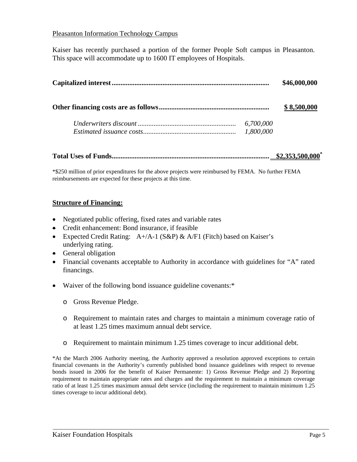## Pleasanton Information Technology Campus

Kaiser has recently purchased a portion of the former People Soft campus in Pleasanton. This space will accommodate up to 1600 IT employees of Hospitals.

|  | \$46,000,000 |             |
|--|--------------|-------------|
|  |              | \$8,500,000 |
|  | 6,700,000    |             |
|  | 1,800,000    |             |

**Total Uses of Funds.......................................................................................... \$2,353,500,000\***

\*\$250 million of prior expenditures for the above projects were reimbursed by FEMA. No further FEMA reimbursements are expected for these projects at this time.

#### **Structure of Financing:**

- Negotiated public offering, fixed rates and variable rates
- Credit enhancement: Bond insurance, if feasible
- Expected Credit Rating:  $A+A-1$  (S&P) & A/F1 (Fitch) based on Kaiser's underlying rating.
- General obligation
- Financial covenants acceptable to Authority in accordance with guidelines for "A" rated financings.
- Waiver of the following bond issuance guideline covenants:\*
	- o Gross Revenue Pledge.
	- o Requirement to maintain rates and charges to maintain a minimum coverage ratio of at least 1.25 times maximum annual debt service.
	- o Requirement to maintain minimum 1.25 times coverage to incur additional debt.

\*At the March 2006 Authority meeting, the Authority approved a resolution approved exceptions to certain financial covenants in the Authority's currently published bond issuance guidelines with respect to revenue bonds issued in 2006 for the benefit of Kaiser Permanente: 1) Gross Revenue Pledge and 2) Reporting requirement to maintain appropriate rates and charges and the requirement to maintain a minimum coverage ratio of at least 1.25 times maximum annual debt service (including the requirement to maintain minimum 1.25 times coverage to incur additional debt).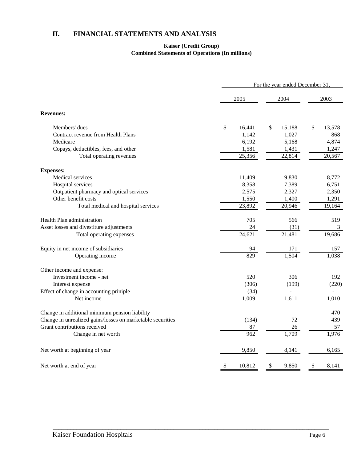# **II. FINANCIAL STATEMENTS AND ANALYSIS**

#### **Kaiser (Credit Group) Combined Statements of Operations (In millions)**

|                                                            | For the year ended December 31, |                     |    |        |    |        |  |
|------------------------------------------------------------|---------------------------------|---------------------|----|--------|----|--------|--|
|                                                            | 2005                            |                     |    | 2004   |    | 2003   |  |
| <b>Revenues:</b>                                           |                                 |                     |    |        |    |        |  |
| Members' dues                                              | \$                              | 16,441              | \$ | 15,188 | \$ | 13,578 |  |
| Contract revenue from Health Plans                         |                                 | 1,142               |    | 1,027  |    | 868    |  |
| Medicare                                                   |                                 | 6,192               |    | 5,168  |    | 4,874  |  |
| Copays, deductibles, fees, and other                       |                                 | 1,581               |    | 1,431  |    | 1,247  |  |
| Total operating revenues                                   |                                 | $\overline{25,356}$ |    | 22,814 |    | 20,567 |  |
| <b>Expenses:</b>                                           |                                 |                     |    |        |    |        |  |
| Medical services                                           |                                 | 11,409              |    | 9,830  |    | 8,772  |  |
| Hospital services                                          |                                 | 8,358               |    | 7,389  |    | 6,751  |  |
| Outpatient pharmacy and optical services                   |                                 | 2,575               |    | 2,327  |    | 2,350  |  |
| Other benefit costs                                        |                                 | 1,550               |    | 1,400  |    | 1,291  |  |
| Total medical and hospital services                        |                                 | 23,892              |    | 20,946 |    | 19,164 |  |
| Health Plan administration                                 |                                 | 705                 |    | 566    |    | 519    |  |
| Asset losses and divestiture adjustments                   |                                 | 24                  |    | (31)   |    | 3      |  |
| Total operating expenses                                   |                                 | 24,621              |    | 21,481 |    | 19,686 |  |
| Equity in net income of subsidiaries                       |                                 | 94                  |    | 171    |    | 157    |  |
| Operating income                                           |                                 | $\sqrt{829}$        |    | 1,504  |    | 1,038  |  |
| Other income and expense:                                  |                                 |                     |    |        |    |        |  |
| Investment income - net                                    |                                 | 520                 |    | 306    |    | 192    |  |
| Interest expense                                           |                                 | (306)               |    | (199)  |    | (220)  |  |
| Effect of change in accounting priniple                    |                                 | (34)                |    |        |    |        |  |
| Net income                                                 |                                 | 1,009               |    | 1,611  |    | 1,010  |  |
| Change in additional minimum pension liability             |                                 |                     |    |        |    | 470    |  |
| Change in unrealized gains/losses on marketable securities |                                 | (134)               |    | 72     |    | 439    |  |
| Grant contributions received                               |                                 | 87                  |    | 26     |    | 57     |  |
| Change in net worth                                        |                                 | 962                 |    | 1,709  |    | 1,976  |  |
| Net worth at beginning of year                             |                                 | 9,850               |    | 8,141  |    | 6,165  |  |
| Net worth at end of year                                   | \$                              | 10,812              | -S | 9,850  | \$ | 8,141  |  |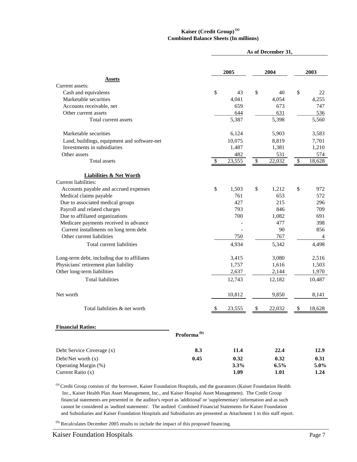#### **) Kaiser (Credit Group) (a Combined Balance Sheets (In millions)**

|                                                               |                         | As of December 31, |            |                      |              |    |            |
|---------------------------------------------------------------|-------------------------|--------------------|------------|----------------------|--------------|----|------------|
|                                                               |                         | 2005               |            | 2004                 |              |    | 2003       |
| <b>Assets</b>                                                 |                         |                    |            |                      |              |    |            |
| Current assets:                                               |                         |                    |            |                      |              |    |            |
| Cash and equivalents                                          |                         | \$                 | 43         | \$                   | 40           | \$ | 22         |
| Marketable securities                                         |                         |                    | 4,041      |                      | 4,054        |    | 4,255      |
| Accounts receivable, net<br>Other current assets              |                         |                    | 659<br>644 |                      | 673<br>631   |    | 747<br>536 |
| Total current assets                                          |                         |                    | 5,387      |                      | 5,398        |    | 5,560      |
|                                                               |                         |                    |            |                      |              |    |            |
| Marketable securities                                         |                         |                    | 6,124      |                      | 5,903        |    | 3,583      |
| Land, buildings, equipment and software-net                   |                         |                    | 10,075     |                      | 8,819        |    | 7,701      |
| Investments in subsidiaries                                   |                         |                    | 1,487      |                      | 1,381        |    | 1,210      |
| Other assets                                                  |                         |                    | 482        |                      | 531          |    | 574        |
| <b>Total</b> assets                                           |                         | \$                 | 23,555     | $\sqrt{\frac{2}{3}}$ | 22,032       | \$ | 18,628     |
| <b>Liabilities &amp; Net Worth</b>                            |                         |                    |            |                      |              |    |            |
| Current liabilities:<br>Accounts payable and accrued expenses |                         | \$                 | 1,503      | \$                   |              | \$ | 972        |
| Medical claims payable                                        |                         |                    | 761        |                      | 1,212<br>653 |    | 572        |
| Due to associated medical groups                              |                         |                    | 427        |                      | 215          |    | 296        |
| Payroll and related charges                                   |                         |                    | 793        |                      | 846          |    | 709        |
| Due to affiliated organizations                               |                         |                    | 700        |                      | 1,082        |    | 691        |
| Medicare payments received in advance                         |                         |                    |            |                      | 477          |    | 398        |
| Current installments on long term debt                        |                         |                    |            |                      | 90           |    | 856        |
| Other current liabilities                                     |                         |                    | 750        |                      | 767          |    | 4          |
| Total current liabilities                                     |                         |                    | 4,934      |                      | 5,342        |    | 4,498      |
| Long-term debt, including due to affiliates                   |                         |                    | 3,415      |                      | 3,080        |    | 2,516      |
| Physicians' retirement plan liability                         |                         |                    | 1,757      |                      | 1,616        |    | 1,503      |
| Other long-term liabilities                                   |                         |                    | 2,637      |                      | 2,144        |    | 1,970      |
| <b>Total liabilities</b>                                      |                         |                    | 12,743     |                      | 12,182       |    | 10,487     |
| Net worth                                                     |                         |                    | 10,812     |                      | 9,850        |    | 8,141      |
| Total liabilities & net worth                                 |                         | \$                 | 23,555     | \$                   | 22,032       | \$ | 18,628     |
| <b>Financial Ratios:</b>                                      |                         |                    |            |                      |              |    |            |
|                                                               | Proforma <sup>(b)</sup> |                    |            |                      |              |    |            |
| Debt Service Coverage (x)                                     | 8.3                     |                    | 11.4       |                      | 22.4         |    | 12.9       |
| Debt/Net worth $(x)$                                          | 0.45                    |                    | 0.32       |                      | 0.32         |    | 0.31       |
| Operating Margin (%)                                          |                         |                    | 3.3%       |                      | 6.5%         |    | 5.0%       |
| Current Ratio (x)                                             |                         |                    | 1.09       |                      | 1.01         |    | 1.24       |
|                                                               |                         |                    |            |                      |              |    |            |

<sup>(a)</sup> Credit Group consists of the borrower, Kaiser Foundation Hospitals, and the guarantors (Kaiser Foundation Health Inc., Kaiser Health Plan Asset Management, Inc., and Kaiser Hospital Asset Management). The Credit Group financial statements are presented in the auditor's report as 'additional' or 'supplementary' information and as such cannot be considered as 'audited statements'. The audited Combined Financial Statements for Kaiser Foundation and Subsidiaries and Kaiser Foundation Hospitals and Subsidiaries are presented as Attachment 1 to this staff report.

 $\frac{1}{2}$ <sup>(b)</sup> Recalculates December 2005 results to include the impact of this proposed financing.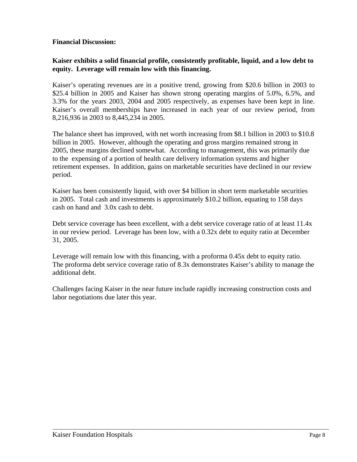## **Financial Discussion:**

## **Kaiser exhibits a solid financial profile, consistently profitable, liquid, and a low debt to equity. Leverage will remain low with this financing.**

Kaiser's operating revenues are in a positive trend, growing from \$20.6 billion in 2003 to \$25.4 billion in 2005 and Kaiser has shown strong operating margins of 5.0%, 6.5%, and 3.3% for the years 2003, 2004 and 2005 respectively, as expenses have been kept in line. Kaiser's overall memberships have increased in each year of our review period, from 8,216,936 in 2003 to 8,445,234 in 2005.

The balance sheet has improved, with net worth increasing from \$8.1 billion in 2003 to \$10.8 billion in 2005. However, although the operating and gross margins remained strong in 2005, these margins declined somewhat. According to management, this was primarily due to the expensing of a portion of health care delivery information systems and higher retirement expenses. In addition, gains on marketable securities have declined in our review period.

Kaiser has been consistently liquid, with over \$4 billion in short term marketable securities in 2005. Total cash and investments is approximately \$10.2 billion, equating to 158 days cash on hand and 3.0x cash to debt.

Debt service coverage has been excellent, with a debt service coverage ratio of at least 11.4x in our review period. Leverage has been low, with a 0.32x debt to equity ratio at December 31, 2005.

Leverage will remain low with this financing, with a proforma 0.45x debt to equity ratio. The proforma debt service coverage ratio of 8.3x demonstrates Kaiser's ability to manage the additional debt.

Challenges facing Kaiser in the near future include rapidly increasing construction costs and labor negotiations due later this year.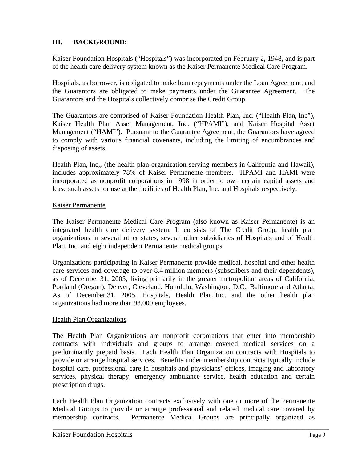# **III. BACKGROUND:**

Kaiser Foundation Hospitals ("Hospitals") was incorporated on February 2, 1948, and is part of the health care delivery system known as the Kaiser Permanente Medical Care Program.

Hospitals, as borrower, is obligated to make loan repayments under the Loan Agreement, and the Guarantors are obligated to make payments under the Guarantee Agreement. The Guarantors and the Hospitals collectively comprise the Credit Group.

The Guarantors are comprised of Kaiser Foundation Health Plan, Inc. ("Health Plan, Inc"), Kaiser Health Plan Asset Management, Inc. ("HPAMI"), and Kaiser Hospital Asset Management ("HAMI"). Pursuant to the Guarantee Agreement, the Guarantors have agreed to comply with various financial covenants, including the limiting of encumbrances and disposing of assets.

Health Plan, Inc., (the health plan organization serving members in California and Hawaii), includes approximately 78% of Kaiser Permanente members. HPAMI and HAMI were incorporated as nonprofit corporations in 1998 in order to own certain capital assets and lease such assets for use at the facilities of Health Plan, Inc. and Hospitals respectively.

#### Kaiser Permanente

The Kaiser Permanente Medical Care Program (also known as Kaiser Permanente) is an integrated health care delivery system. It consists of The Credit Group, health plan organizations in several other states, several other subsidiaries of Hospitals and of Health Plan, Inc. and eight independent Permanente medical groups.

Organizations participating in Kaiser Permanente provide medical, hospital and other health care services and coverage to over 8.4 million members (subscribers and their dependents), as of December 31, 2005, living primarily in the greater metropolitan areas of California, Portland (Oregon), Denver, Cleveland, Honolulu, Washington, D.C., Baltimore and Atlanta. As of December 31, 2005, Hospitals, Health Plan, Inc. and the other health plan organizations had more than 93,000 employees.

## Health Plan Organizations

The Health Plan Organizations are nonprofit corporations that enter into membership contracts with individuals and groups to arrange covered medical services on a predominantly prepaid basis. Each Health Plan Organization contracts with Hospitals to provide or arrange hospital services. Benefits under membership contracts typically include hospital care, professional care in hospitals and physicians' offices, imaging and laboratory services, physical therapy, emergency ambulance service, health education and certain prescription drugs.

Each Health Plan Organization contracts exclusively with one or more of the Permanente Medical Groups to provide or arrange professional and related medical care covered by membership contracts. Permanente Medical Groups are principally organized as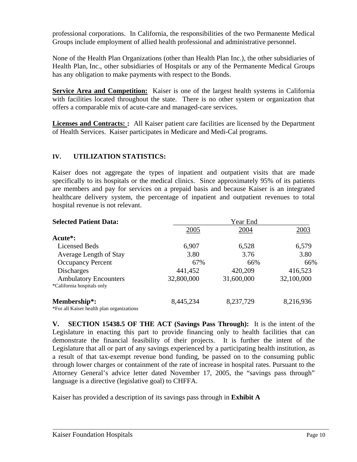professional corporations. In California, the responsibilities of the two Permanente Medical Groups include employment of allied health professional and administrative personnel.

None of the Health Plan Organizations (other than Health Plan Inc.), the other subsidiaries of Health Plan, Inc., other subsidiaries of Hospitals or any of the Permanente Medical Groups has any obligation to make payments with respect to the Bonds.

Service Area and Competition: Kaiser is one of the largest health systems in California with facilities located throughout the state. There is no other system or organization that offers a comparable mix of acute-care and managed-care services.

**Licenses and Contracts:** : All Kaiser patient care facilities are licensed by the Department of Health Services. Kaiser participates in Medicare and Medi-Cal programs.

# **IV. UTILIZATION STATISTICS:**

Kaiser does not aggregate the types of inpatient and outpatient visits that are made specifically to its hospitals or the medical clinics. Since approximately 95% of its patients are members and pay for services on a prepaid basis and because Kaiser is an integrated healthcare delivery system, the percentage of inpatient and outpatient revenues to total hospital revenue is not relevant.

| <b>Selected Patient Data:</b>             |            | Year End   |            |  |  |  |  |
|-------------------------------------------|------------|------------|------------|--|--|--|--|
|                                           | 2005       | 2004       | 2003       |  |  |  |  |
| Acute <sup>*</sup> :                      |            |            |            |  |  |  |  |
| <b>Licensed Beds</b>                      | 6,907      | 6,528      | 6,579      |  |  |  |  |
| Average Length of Stay                    | 3.80       | 3.76       | 3.80       |  |  |  |  |
| <b>Occupancy Percent</b>                  | 67%        | 66%        | 66%        |  |  |  |  |
| <b>Discharges</b>                         | 441,452    | 420,209    | 416,523    |  |  |  |  |
| <b>Ambulatory Encounters</b>              | 32,800,000 | 31,600,000 | 32,100,000 |  |  |  |  |
| *California hospitals only                |            |            |            |  |  |  |  |
| Membership*:                              | 8,445,234  | 8,237,729  | 8,216,936  |  |  |  |  |
| *For all Kaiser health plan organizations |            |            |            |  |  |  |  |

**V. SECTION 15438.5 OF THE ACT (Savings Pass Through):** It is the intent of the Legislature in enacting this part to provide financing only to health facilities that can demonstrate the financial feasibility of their projects. It is further the intent of the Legislature that all or part of any savings experienced by a participating health institution, as a result of that tax-exempt revenue bond funding, be passed on to the consuming public through lower charges or containment of the rate of increase in hospital rates. Pursuant to the Attorney General's advice letter dated November 17, 2005, the "savings pass through" language is a directive (legislative goal) to CHFFA.

\_\_\_\_\_\_\_\_\_\_\_\_\_\_\_\_\_\_\_\_\_\_\_\_\_\_\_\_\_\_\_\_\_\_\_\_\_\_\_\_\_\_\_\_\_\_\_\_\_\_\_\_\_\_\_\_\_\_\_\_\_\_\_\_\_\_\_\_\_\_\_\_\_\_\_\_\_\_\_\_\_\_\_\_\_\_\_\_\_\_\_\_\_\_

Kaiser has provided a description of its savings pass through in **Exhibit A**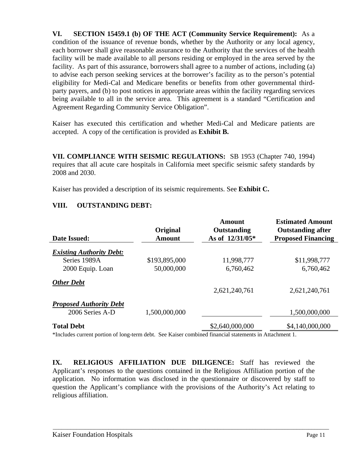**VI. SECTION 15459.1 (b) OF THE ACT (Community Service Requirement):** As a condition of the issuance of revenue bonds, whether by the Authority or any local agency, each borrower shall give reasonable assurance to the Authority that the services of the health facility will be made available to all persons residing or employed in the area served by the facility. As part of this assurance, borrowers shall agree to a number of actions, including (a) to advise each person seeking services at the borrower's facility as to the person's potential eligibility for Medi-Cal and Medicare benefits or benefits from other governmental thirdparty payers, and (b) to post notices in appropriate areas within the facility regarding services being available to all in the service area. This agreement is a standard "Certification and Agreement Regarding Community Service Obligation".

Kaiser has executed this certification and whether Medi-Cal and Medicare patients are accepted. A copy of the certification is provided as **Exhibit B.** 

**VII. COMPLIANCE WITH SEISMIC REGULATIONS:** SB 1953 (Chapter 740, 1994) requires that all acute care hospitals in California meet specific seismic safety standards by 2008 and 2030.

Kaiser has provided a description of its seismic requirements. See **Exhibit C.** 

## **VIII. OUTSTANDING DEBT:**

|                                 | Original      | <b>Amount</b><br>Outstanding | <b>Estimated Amount</b><br><b>Outstanding after</b> |
|---------------------------------|---------------|------------------------------|-----------------------------------------------------|
| <b>Date Issued:</b>             | <b>Amount</b> | As of 12/31/05*              | <b>Proposed Financing</b>                           |
| <b>Existing Authority Debt:</b> |               |                              |                                                     |
| Series 1989A                    | \$193,895,000 | 11,998,777                   | \$11,998,777                                        |
| 2000 Equip. Loan                | 50,000,000    | 6,760,462                    | 6,760,462                                           |
| <b>Other Debt</b>               |               |                              |                                                     |
|                                 |               | 2,621,240,761                | 2,621,240,761                                       |
| <b>Proposed Authority Debt</b>  |               |                              |                                                     |
| 2006 Series A-D                 | 1,500,000,000 |                              | 1,500,000,000                                       |
| <b>Total Debt</b>               |               | \$2,640,000,000              | \$4,140,000,000                                     |

\*Includes current portion of long-term debt. See Kaiser combined financial statements in Attachment 1.

**IX. RELIGIOUS AFFILIATION DUE DILIGENCE:** Staff has reviewed the Applicant's responses to the questions contained in the Religious Affiliation portion of the application. No information was disclosed in the questionnaire or discovered by staff to question the Applicant's compliance with the provisions of the Authority's Act relating to religious affiliation.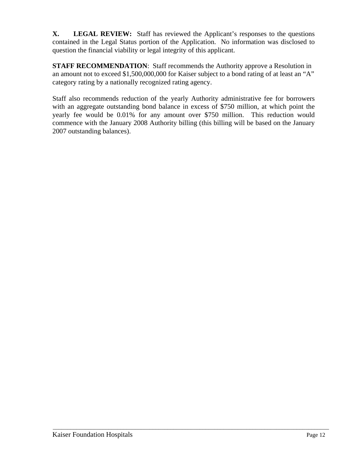**X. LEGAL REVIEW:** Staff has reviewed the Applicant's responses to the questions contained in the Legal Status portion of the Application. No information was disclosed to question the financial viability or legal integrity of this applicant.

**STAFF RECOMMENDATION:** Staff recommends the Authority approve a Resolution in an amount not to exceed \$1,500,000,000 for Kaiser subject to a bond rating of at least an "A" category rating by a nationally recognized rating agency.

Staff also recommends reduction of the yearly Authority administrative fee for borrowers with an aggregate outstanding bond balance in excess of \$750 million, at which point the yearly fee would be 0.01% for any amount over \$750 million. This reduction would commence with the January 2008 Authority billing (this billing will be based on the January 2007 outstanding balances).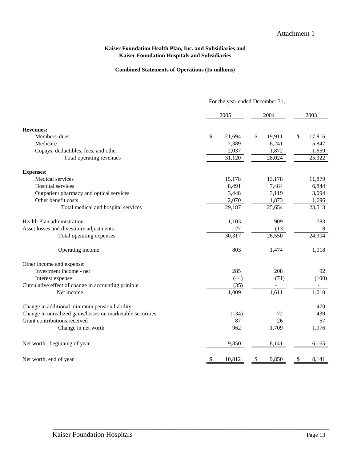#### **Kaiser Foundation Health Plan, Inc. and Subsidiaries and Kaiser Foundation Hospitals and Subsidiaries**

#### **Combined Statements of Operations (In millions)**

|                                                            | For the year ended December 31 |                     |      |        |    |        |
|------------------------------------------------------------|--------------------------------|---------------------|------|--------|----|--------|
|                                                            |                                | 2005                | 2004 |        |    | 2003   |
| <b>Revenues:</b>                                           |                                |                     |      |        |    |        |
| Members' dues                                              | \$                             | 21,694              | \$   | 19,911 | \$ | 17,816 |
| Medicare                                                   |                                | 7,389               |      | 6,241  |    | 5,847  |
| Copays, deductibles, fees, and other                       |                                | 2,037               |      | 1,872  |    | 1,659  |
| Total operating revenues                                   |                                | $\overline{31,120}$ |      | 28,024 |    | 25,322 |
| <b>Expenses:</b>                                           |                                |                     |      |        |    |        |
| Medical services                                           |                                | 15,178              |      | 13,178 |    | 11,879 |
| Hospital services                                          |                                | 8,491               |      | 7,484  |    | 6,844  |
| Outpatient pharmacy and optical services                   |                                | 3,448               |      | 3,119  |    | 3,094  |
| Other benefit costs                                        |                                | 2,070               |      | 1,873  |    | 1,696  |
| Total medical and hospital services                        |                                | 29,187              |      | 25,654 |    | 23,513 |
| Health Plan administration                                 |                                | 1,103               |      | 909    |    | 783    |
| Asset losses and divestiture adjustments                   |                                | 27                  |      | (13)   |    | $8\,$  |
| Total operating expenses                                   |                                | 30,317              |      | 26,550 |    | 24,304 |
| Operating income                                           |                                | 803                 |      | 1,474  |    | 1,018  |
| Other income and expense:                                  |                                |                     |      |        |    |        |
| Investment income - net                                    |                                | 285                 |      | 208    |    | 92     |
| Interest expense                                           |                                | (44)                |      | (71)   |    | (100)  |
| Cumulative effect of change in accounting priniple         |                                | (35)                |      |        |    |        |
| Net income                                                 |                                | 1,009               |      | 1,611  |    | 1,010  |
| Change in additional minimum pension liability             |                                |                     |      |        |    | 470    |
| Change in unrealized gains/losses on marketable securities |                                | (134)               |      | 72     |    | 439    |
| Grant contributions received                               |                                | 87                  |      | 26     |    | 57     |
| Change in net worth                                        |                                | 962                 |      | 1,709  |    | 1,976  |
| Net worth, beginning of year                               |                                | 9,850               |      | 8,141  |    | 6,165  |
| Net worth, end of year                                     | \$                             | 10,812              | \$   | 9,850  | \$ | 8,141  |